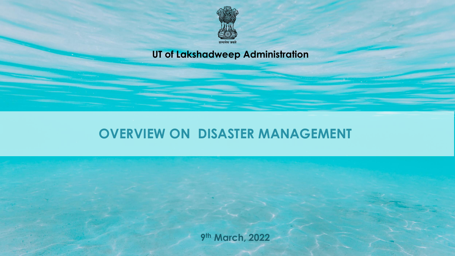

#### **UT of Lakshadweep Administration**

# **OVERVIEW ON DISASTER MANAGEMENT**

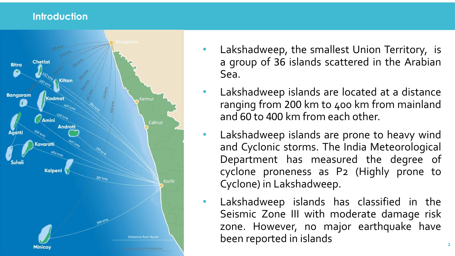#### **Introduction**



- Lakshadweep, the smallest Union Territory, is a group of 36 islands scattered in the Arabian Sea.
- Lakshadweep islands are located at a distance ranging from 200 km to 400 km from mainland and 60 to 400 km from each other.
	- Lakshadweep islands are prone to heavy wind and Cyclonic storms. The India Meteorological Department has measured the degree of cyclone proneness as P 2 (Highly prone to Cyclone) in Lakshadweep.
	- Lakshadweep islands has classified in the Seismic Zone III with moderate damage risk zone. However, no major earthquake have been reported in islands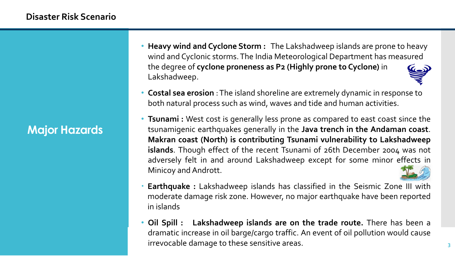- **Heavy wind and Cyclone Storm :** The Lakshadweep islands are prone to heavy wind and Cyclonic storms. The India Meteorological Department has measured the degree of **cyclone proneness as P2 (Highly prone to Cyclone)** in Lakshadweep.
- **Costal sea erosion** : The island shoreline are extremely dynamic in response to both natural process such as wind, waves and tide and human activities.
- **Tsunami :** West cost is generally less prone as compared to east coast since the tsunamigenic earthquakes generally in the **Java trench in the Andaman coast**. **Makran coast (North) is contributing Tsunami vulnerability to Lakshadweep islands**. Though effect of the recent Tsunami of 26th December 2004 was not adversely felt in and around Lakshadweep except for some minor effects in Minicoy and Andrott.
- **Earthquake :** Lakshadweep islands has classified in the Seismic Zone III with moderate damage risk zone. However, no major earthquake have been reported in islands
- **Oil Spill : Lakshadweep islands are on the trade route.** There has been a dramatic increase in oil barge/cargo traffic. An event of oil pollution would cause irrevocable damage to these sensitive areas.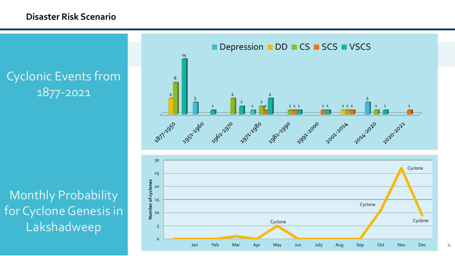#### **Disaster Risk Scenario**

Cyclonic Events from 1877-2021

Monthly Probability for Cyclone Genesis in Lakshadweep



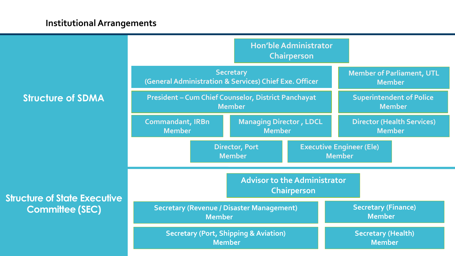#### **Institutional Arrangements**

|                                                               | <b>Hon'ble Administrator</b><br><b>Chairperson</b>                          |                                                 |  |                                                    |  |
|---------------------------------------------------------------|-----------------------------------------------------------------------------|-------------------------------------------------|--|----------------------------------------------------|--|
| <b>Structure of SDMA</b>                                      | <b>Secretary</b><br>(General Administration & Services) Chief Exe. Officer  |                                                 |  | <b>Member of Parliament, UTL</b><br><b>Member</b>  |  |
|                                                               | <b>President - Cum Chief Counselor, District Panchayat</b><br><b>Member</b> |                                                 |  | <b>Superintendent of Police</b><br><b>Member</b>   |  |
|                                                               | <b>Commandant, IRBn</b><br><b>Member</b>                                    | <b>Managing Director, LDCL</b><br><b>Member</b> |  | <b>Director (Health Services)</b><br><b>Member</b> |  |
| <b>Structure of State Executive</b><br><b>Committee (SEC)</b> | <b>Director, Port</b><br><b>Member</b>                                      |                                                 |  | <b>Executive Engineer (Ele)</b><br><b>Member</b>   |  |
|                                                               | <b>Advisor to the Administrator</b><br><b>Chairperson</b>                   |                                                 |  |                                                    |  |
|                                                               | <b>Secretary (Revenue / Disaster Management)</b><br><b>Member</b>           |                                                 |  | <b>Secretary (Finance)</b><br><b>Member</b>        |  |
|                                                               | <b>Secretary (Port, Shipping &amp; Aviation)</b><br><b>Member</b>           |                                                 |  | <b>Secretary (Health)</b><br><b>Member</b>         |  |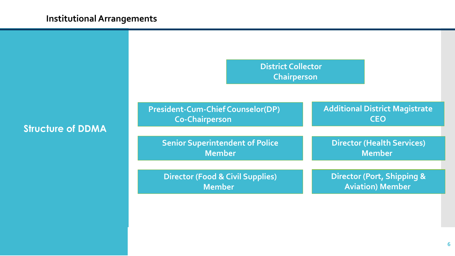#### **Institutional Arrangements**

| <b>Structure of DDMA</b> |  |
|--------------------------|--|
|--------------------------|--|

| <b>District Collector</b><br><b>Chairperson</b>                   |                                                       |  |
|-------------------------------------------------------------------|-------------------------------------------------------|--|
| <b>President-Cum-Chief Counselor(DP)</b><br><b>Co-Chairperson</b> | <b>Additional District Magistrate</b><br><b>CEO</b>   |  |
|                                                                   |                                                       |  |
| <b>Senior Superintendent of Police</b><br><b>Member</b>           | <b>Director (Health Services)</b><br><b>Member</b>    |  |
|                                                                   |                                                       |  |
| <b>Director (Food &amp; Civil Supplies)</b><br><b>Member</b>      | Director (Port, Shipping &<br><b>Aviation) Member</b> |  |
|                                                                   |                                                       |  |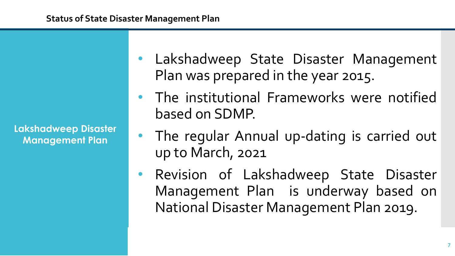**Lakshadweep Disaster Management Plan**

- Lakshadweep State Disaster Management Plan was prepared in the year 2015.
- The institutional Frameworks were notified based on SDMP.
- The regular Annual up-dating is carried out up to March, 2021
- Revision of Lakshadweep State Disaster Management Plan is underway based on National Disaster Management Plan 2019.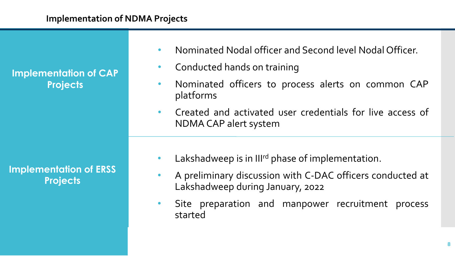**Implementation of CAP Projects**

**Implementation of ERSS Projects**

- Nominated Nodal officer and Second level Nodal Officer.
- Conducted hands on training
- Nominated officers to process alerts on common CAP platforms
- Created and activated user credentials for live access of NDMA CAP alert system
- Lakshadweep is in III<sup>rd</sup> phase of implementation.
- A preliminary discussion with C-DAC officers conducted at Lakshadweep during January, 2022
- Site preparation and manpower recruitment process started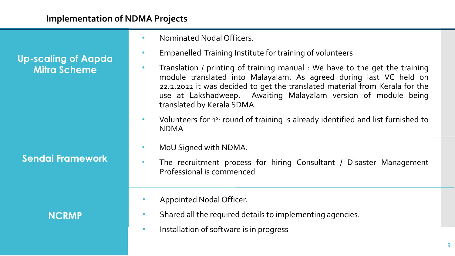|                                                   | Nominated Nodal Officers.<br>$\bullet$                                                                                                                                                                                                                                                                                                       |
|---------------------------------------------------|----------------------------------------------------------------------------------------------------------------------------------------------------------------------------------------------------------------------------------------------------------------------------------------------------------------------------------------------|
| <b>Up-scaling of Aapda</b><br><b>Mitra Scheme</b> | Empanelled Training Institute for training of volunteers<br>$\bullet$                                                                                                                                                                                                                                                                        |
|                                                   | Translation / printing of training manual : We have to the get the training<br>$\bullet$<br>module translated into Malayalam. As agreed during last VC held on<br>22.2.2022 it was decided to get the translated material from Kerala for the<br>use at Lakshadweep. Awaiting Malayalam version of module being<br>translated by Kerala SDMA |
| <b>Sendai Framework</b>                           | Volunteers for 1 <sup>st</sup> round of training is already identified and list furnished to<br>$\bullet$<br><b>NDMA</b>                                                                                                                                                                                                                     |
|                                                   | MoU Signed with NDMA.                                                                                                                                                                                                                                                                                                                        |
|                                                   | The recruitment process for hiring Consultant / Disaster Management<br>Professional is commenced                                                                                                                                                                                                                                             |
| <b>NCRMP</b>                                      | Appointed Nodal Officer.<br>$\bullet$                                                                                                                                                                                                                                                                                                        |
|                                                   | Shared all the required details to implementing agencies.<br>$\bullet$                                                                                                                                                                                                                                                                       |
|                                                   | Installation of software is in progress<br>$\bullet$                                                                                                                                                                                                                                                                                         |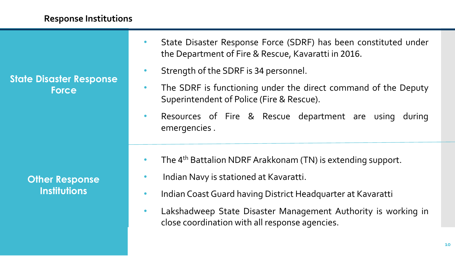**State Disaster Response Force**

> **Other Response Institutions**

- State Disaster Response Force (SDRF) has been constituted under the Department of Fire & Rescue, Kavaratti in 2016.
- Strength of the SDRF is 34 personnel.
- The SDRF is functioning under the direct command of the Deputy Superintendent of Police (Fire & Rescue).
- Resources of Fire & Rescue department are using during emergencies .
- The 4<sup>th</sup> Battalion NDRF Arakkonam (TN) is extending support.
- Indian Navy is stationed at Kavaratti.
- Indian CoastGuard having District Headquarter at Kavaratti
- Lakshadweep State Disaster Management Authority is working in close coordination with all response agencies.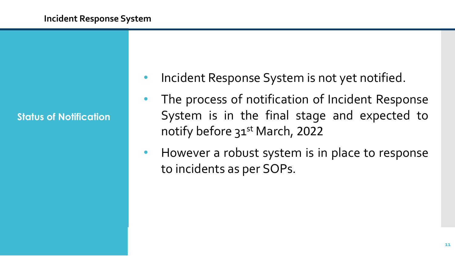**Status of Notification**

- Incident Response System is not yet notified.
- The process of notification of Incident Response System is in the final stage and expected to notify before 31<sup>st</sup> March, 2022
- However a robust system is in place to response to incidents as per SOPs.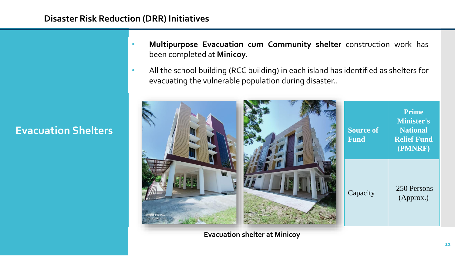## **Evacuation Shelters**

**Disaster Risk Reduction (DRR) Initiatives**

- **Multipurpose Evacuation cum Community shelter** construction work has been completed at **Minicoy.**
- All the school building (RCC building) in each island has identified as shelters for evacuating the vulnerable population during disaster..



**Evacuation shelter at Minicoy**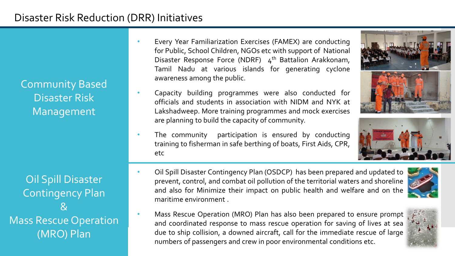Community Based Disaster Risk Management

Oil Spill Disaster Contingency Plan  $\mathcal{R}$ Mass Rescue Operation (MRO) Plan

- Every Year Familiarization Exercises (FAMEX) are conducting for Public, School Children, NGOs etc with support of National Disaster Response Force (NDRF) 4<sup>th</sup> Battalion Arakkonam, Tamil Nadu at various islands for generating cyclone awareness among the public.
- Capacity building programmes were also conducted for officials and students in association with NIDM and NYK at Lakshadweep. More training programmes and mock exercises are planning to build the capacity of community.
- The community participation is ensured by conducting training to fisherman in safe berthing of boats, First Aids, CPR, etc
- 





- Oil Spill Disaster Contingency Plan (OSDCP) has been prepared and updated to prevent, control, and combat oil pollution of the territorial waters and shoreline and also for Minimize their impact on public health and welfare and on the maritime environment .
- Mass Rescue Operation (MRO) Plan has also been prepared to ensure prompt and coordinated response to mass rescue operation for saving of lives at sea due to ship collision, a downed aircraft, call for the immediate rescue of large numbers of passengers and crew in poor environmental conditions etc.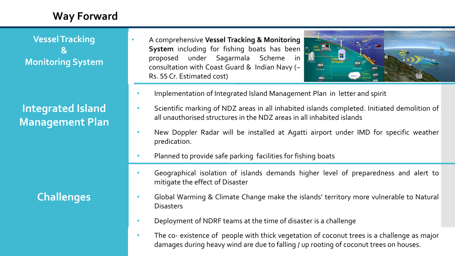## **Way Forward**

**Vessel Tracking & Monitoring System**

**Integrated Island Management Plan** 

**Challenges**

• A comprehensive **Vessel Tracking & Monitoring System** including for fishing boats has been proposed under Sagarmala Scheme in consultation with Coast Guard & Indian Navy (~ Rs. 55 Cr. Estimated cost)



- Implementation of Integrated Island Management Plan in letter and spirit
- Scientific marking of NDZ areas in all inhabited islands completed. Initiated demolition of all unauthorised structures in the NDZ areas in all inhabited islands
- New Doppler Radar will be installed at Agatti airport under IMD for specific weather predication.
- Planned to provide safe parking facilities for fishing boats
- Geographical isolation of islands demands higher level of preparedness and alert to mitigate the effect of Disaster
- Global Warming & Climate Change make the islands' territory more vulnerable to Natural **Disasters**
- Deployment of NDRF teams at the time of disaster is a challenge
- The co- existence of people with thick vegetation of coconut trees is a challenge as major damages during heavy wind are due to falling / up rooting of coconut trees on houses.